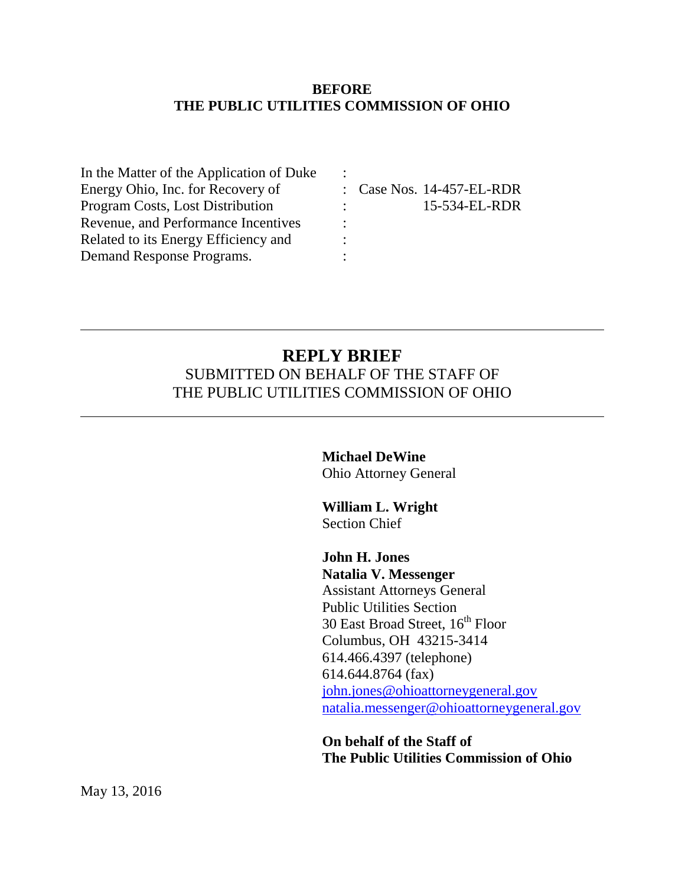#### **BEFORE THE PUBLIC UTILITIES COMMISSION OF OHIO**

| : Case Nos. 14-457-EL-RDR                            |
|------------------------------------------------------|
| 15-534-EL-RDR<br>$\mathcal{L} = \{1, 2, \ldots, n\}$ |
| ٠                                                    |
|                                                      |
|                                                      |
|                                                      |

## **REPLY BRIEF** SUBMITTED ON BEHALF OF THE STAFF OF THE PUBLIC UTILITIES COMMISSION OF OHIO

# **Michael DeWine**

Ohio Attorney General

**William L. Wright** Section Chief

**John H. Jones Natalia V. Messenger** Assistant Attorneys General Public Utilities Section 30 East Broad Street, 16<sup>th</sup> Floor Columbus, OH 43215-3414 614.466.4397 (telephone) 614.644.8764 (fax) [john.jones@ohioattorneygeneral.gov](mailto:john.jones@ohioattorneygeneral.gov) [natalia.messenger@ohioattorneygeneral.gov](mailto:natalia.messenger@ohioattorneygeneral.gov)

**On behalf of the Staff of The Public Utilities Commission of Ohio**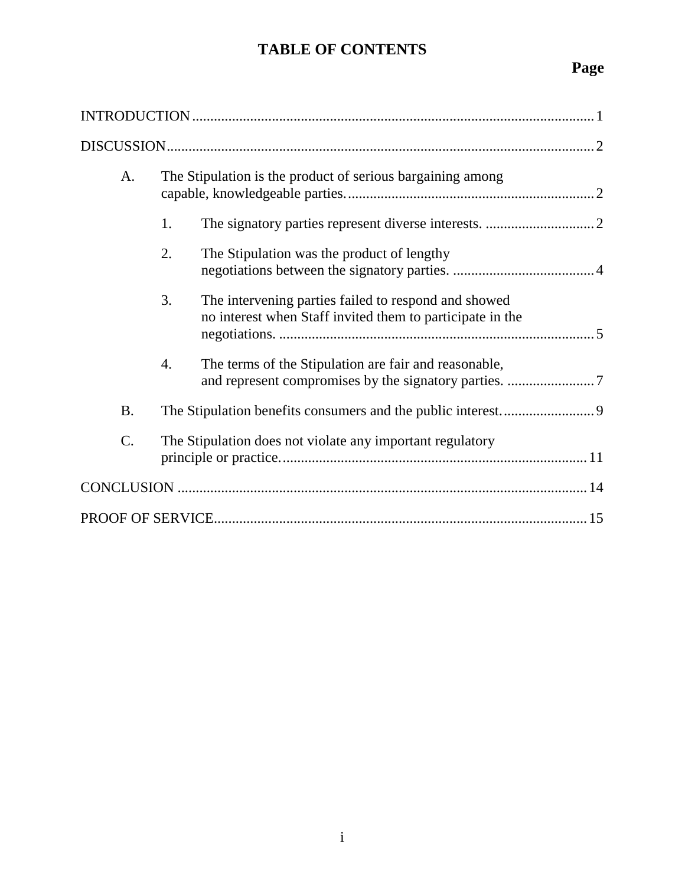## **TABLE OF CONTENTS**

## **Page**

| A.        | The Stipulation is the product of serious bargaining among |                                                                                                                   |  |  |  |  |
|-----------|------------------------------------------------------------|-------------------------------------------------------------------------------------------------------------------|--|--|--|--|
|           | 1.                                                         |                                                                                                                   |  |  |  |  |
|           | 2.                                                         | The Stipulation was the product of lengthy                                                                        |  |  |  |  |
|           | 3.                                                         | The intervening parties failed to respond and showed<br>no interest when Staff invited them to participate in the |  |  |  |  |
|           | $\overline{4}$ .                                           | The terms of the Stipulation are fair and reasonable,                                                             |  |  |  |  |
| <b>B.</b> |                                                            |                                                                                                                   |  |  |  |  |
| C.        | The Stipulation does not violate any important regulatory  |                                                                                                                   |  |  |  |  |
|           |                                                            |                                                                                                                   |  |  |  |  |
|           |                                                            |                                                                                                                   |  |  |  |  |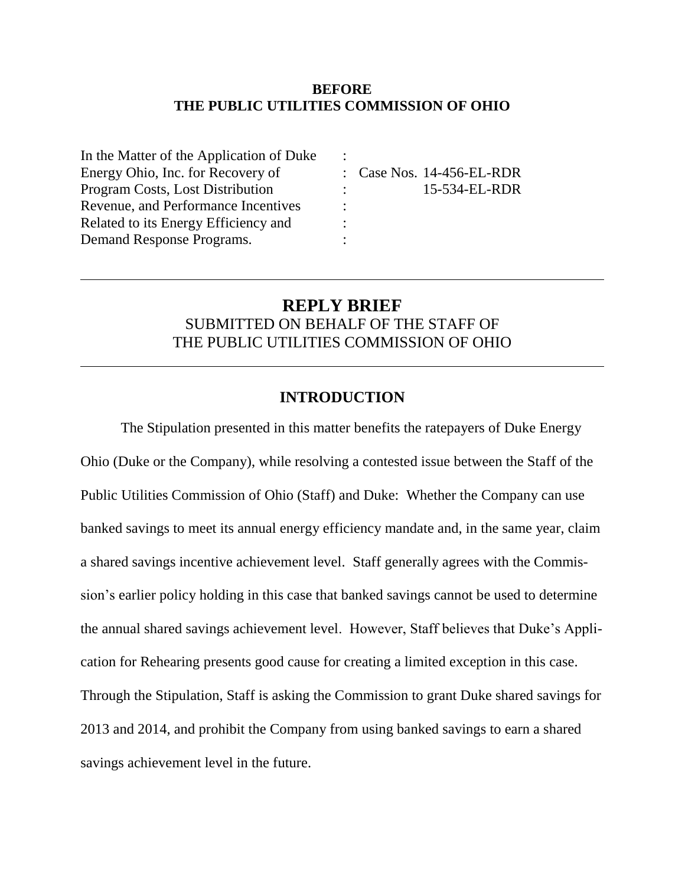#### **BEFORE THE PUBLIC UTILITIES COMMISSION OF OHIO**

| In the Matter of the Application of Duke |                                                      |
|------------------------------------------|------------------------------------------------------|
| Energy Ohio, Inc. for Recovery of        | : Case Nos. 14-456-EL-RDR                            |
| <b>Program Costs, Lost Distribution</b>  | 15-534-EL-RDR<br>$\mathcal{L} = \{1, 2, \ldots, n\}$ |
| Revenue, and Performance Incentives      |                                                      |
| Related to its Energy Efficiency and     |                                                      |
| Demand Response Programs.                |                                                      |
|                                          |                                                      |

## **REPLY BRIEF** SUBMITTED ON BEHALF OF THE STAFF OF THE PUBLIC UTILITIES COMMISSION OF OHIO

### **INTRODUCTION**

The Stipulation presented in this matter benefits the ratepayers of Duke Energy Ohio (Duke or the Company), while resolving a contested issue between the Staff of the Public Utilities Commission of Ohio (Staff) and Duke: Whether the Company can use banked savings to meet its annual energy efficiency mandate and, in the same year, claim a shared savings incentive achievement level. Staff generally agrees with the Commission's earlier policy holding in this case that banked savings cannot be used to determine the annual shared savings achievement level. However, Staff believes that Duke's Application for Rehearing presents good cause for creating a limited exception in this case. Through the Stipulation, Staff is asking the Commission to grant Duke shared savings for 2013 and 2014, and prohibit the Company from using banked savings to earn a shared savings achievement level in the future.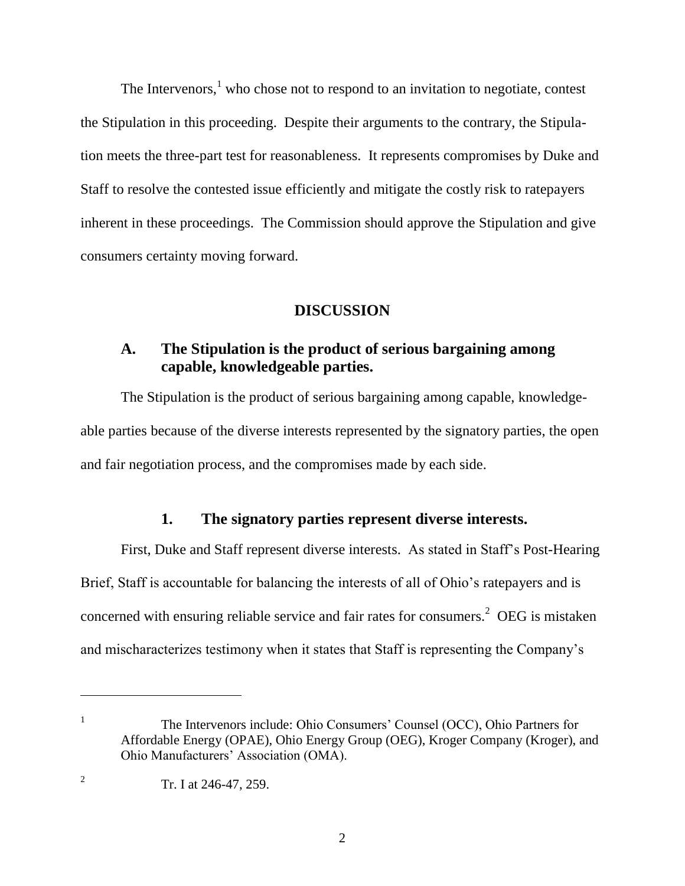The Intervenors, $<sup>1</sup>$  who chose not to respond to an invitation to negotiate, contest</sup> the Stipulation in this proceeding. Despite their arguments to the contrary, the Stipulation meets the three-part test for reasonableness. It represents compromises by Duke and Staff to resolve the contested issue efficiently and mitigate the costly risk to ratepayers inherent in these proceedings. The Commission should approve the Stipulation and give consumers certainty moving forward.

#### **DISCUSSION**

## **A. The Stipulation is the product of serious bargaining among capable, knowledgeable parties.**

The Stipulation is the product of serious bargaining among capable, knowledgeable parties because of the diverse interests represented by the signatory parties, the open and fair negotiation process, and the compromises made by each side.

#### **1. The signatory parties represent diverse interests.**

First, Duke and Staff represent diverse interests. As stated in Staff's Post-Hearing Brief, Staff is accountable for balancing the interests of all of Ohio's ratepayers and is concerned with ensuring reliable service and fair rates for consumers.<sup>2</sup> OEG is mistaken and mischaracterizes testimony when it states that Staff is representing the Company's

The Intervenors include: Ohio Consumers' Counsel (OCC), Ohio Partners for Affordable Energy (OPAE), Ohio Energy Group (OEG), Kroger Company (Kroger), and Ohio Manufacturers' Association (OMA).

 $\overline{a}$ 

1

<sup>2</sup> Tr. I at 246-47, 259.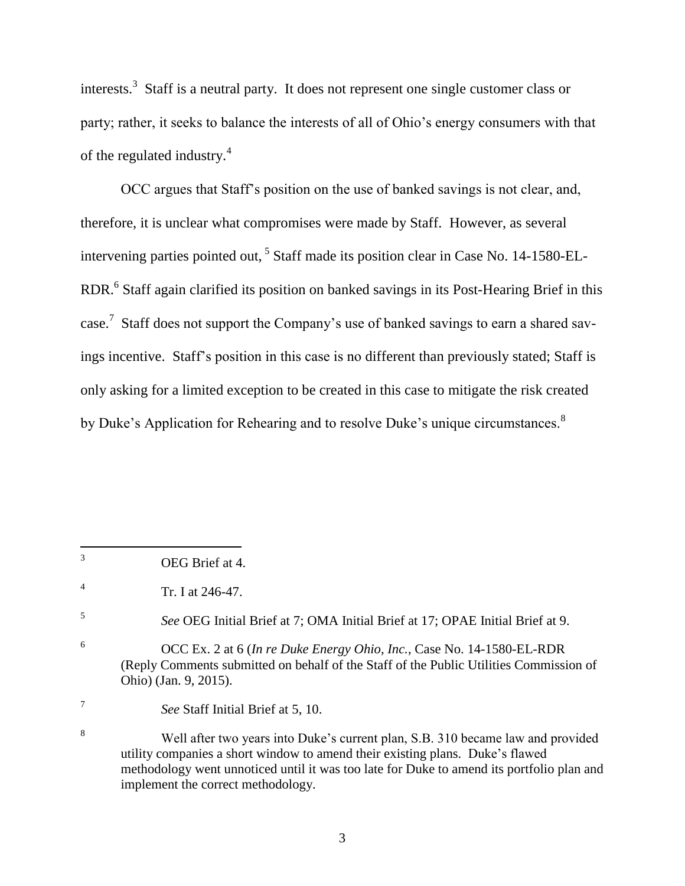interests.<sup>3</sup> Staff is a neutral party. It does not represent one single customer class or party; rather, it seeks to balance the interests of all of Ohio's energy consumers with that of the regulated industry.<sup>4</sup>

OCC argues that Staff's position on the use of banked savings is not clear, and, therefore, it is unclear what compromises were made by Staff. However, as several intervening parties pointed out, <sup>5</sup> Staff made its position clear in Case No. 14-1580-EL-RDR.<sup>6</sup> Staff again clarified its position on banked savings in its Post-Hearing Brief in this case.<sup>7</sup> Staff does not support the Company's use of banked savings to earn a shared savings incentive. Staff's position in this case is no different than previously stated; Staff is only asking for a limited exception to be created in this case to mitigate the risk created by Duke's Application for Rehearing and to resolve Duke's unique circumstances.<sup>8</sup>

<sup>3</sup> OEG Brief at 4.

<sup>4</sup> Tr. I at 246-47.

<sup>5</sup> *See* OEG Initial Brief at 7; OMA Initial Brief at 17; OPAE Initial Brief at 9.

<sup>6</sup> OCC Ex. 2 at 6 (*In re Duke Energy Ohio, Inc.*, Case No. 14-1580-EL-RDR (Reply Comments submitted on behalf of the Staff of the Public Utilities Commission of Ohio) (Jan. 9, 2015).

*See* Staff Initial Brief at 5, 10.

<sup>8</sup> Well after two years into Duke's current plan, S.B. 310 became law and provided utility companies a short window to amend their existing plans. Duke's flawed methodology went unnoticed until it was too late for Duke to amend its portfolio plan and implement the correct methodology.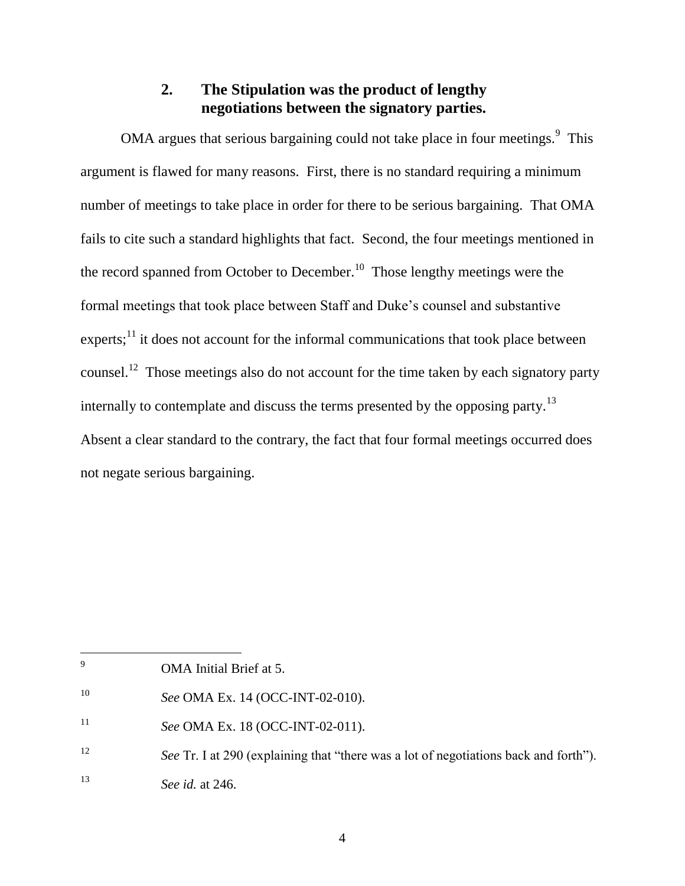## **2. The Stipulation was the product of lengthy negotiations between the signatory parties.**

OMA argues that serious bargaining could not take place in four meetings. $9$  This argument is flawed for many reasons. First, there is no standard requiring a minimum number of meetings to take place in order for there to be serious bargaining. That OMA fails to cite such a standard highlights that fact. Second, the four meetings mentioned in the record spanned from October to December.<sup>10</sup> Those lengthy meetings were the formal meetings that took place between Staff and Duke's counsel and substantive experts; $<sup>11</sup>$  it does not account for the informal communications that took place between</sup> counsel.<sup>12</sup> Those meetings also do not account for the time taken by each signatory party internally to contemplate and discuss the terms presented by the opposing party.<sup>13</sup> Absent a clear standard to the contrary, the fact that four formal meetings occurred does not negate serious bargaining.

 $\overline{9}$ OMA Initial Brief at 5.

<sup>10</sup> *See* OMA Ex. 14 (OCC-INT-02-010).

<sup>11</sup> *See* OMA Ex. 18 (OCC-INT-02-011).

<sup>12</sup> *See* Tr. I at 290 (explaining that "there was a lot of negotiations back and forth").

<sup>13</sup> *See id.* at 246.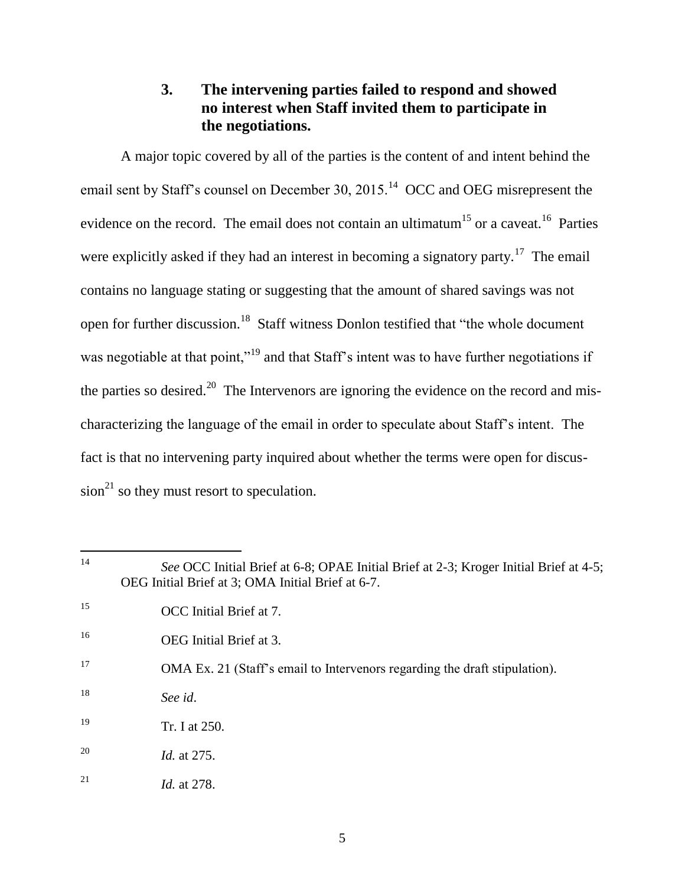## **3. The intervening parties failed to respond and showed no interest when Staff invited them to participate in the negotiations.**

A major topic covered by all of the parties is the content of and intent behind the email sent by Staff's counsel on December 30, 2015.<sup>14</sup> OCC and OEG misrepresent the evidence on the record. The email does not contain an ultimatum<sup>15</sup> or a caveat.<sup>16</sup> Parties were explicitly asked if they had an interest in becoming a signatory party.<sup>17</sup> The email contains no language stating or suggesting that the amount of shared savings was not open for further discussion.<sup>18</sup> Staff witness Donlon testified that "the whole document was negotiable at that point,"<sup>19</sup> and that Staff's intent was to have further negotiations if the parties so desired.<sup>20</sup> The Intervenors are ignoring the evidence on the record and mischaracterizing the language of the email in order to speculate about Staff's intent. The fact is that no intervening party inquired about whether the terms were open for discus $sion<sup>21</sup>$  so they must resort to speculation.

 $14$ <sup>14</sup> *See* OCC Initial Brief at 6-8; OPAE Initial Brief at 2-3; Kroger Initial Brief at 4-5; OEG Initial Brief at 3; OMA Initial Brief at 6-7. <sup>15</sup> OCC Initial Brief at 7. <sup>16</sup> OEG Initial Brief at 3. <sup>17</sup> OMA Ex. 21 (Staff's email to Intervenors regarding the draft stipulation). <sup>18</sup> *See id*. <sup>19</sup> Tr. I at 250. <sup>20</sup> *Id.* at 275. <sup>21</sup> *Id.* at 278.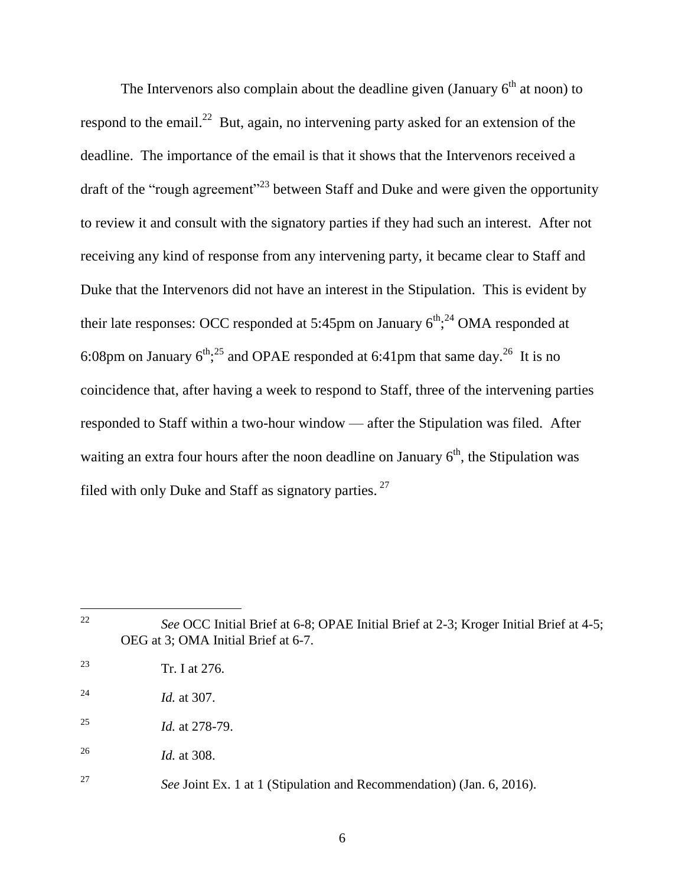The Intervenors also complain about the deadline given (January  $6<sup>th</sup>$  at noon) to respond to the email.<sup>22</sup> But, again, no intervening party asked for an extension of the deadline. The importance of the email is that it shows that the Intervenors received a draft of the "rough agreement"<sup>23</sup> between Staff and Duke and were given the opportunity to review it and consult with the signatory parties if they had such an interest. After not receiving any kind of response from any intervening party, it became clear to Staff and Duke that the Intervenors did not have an interest in the Stipulation. This is evident by their late responses: OCC responded at 5:45pm on January  $6<sup>th</sup>$ ;<sup>24</sup> OMA responded at 6:08pm on January  $6^{th}$ ;<sup>25</sup> and OPAE responded at 6:41pm that same day.<sup>26</sup> It is no coincidence that, after having a week to respond to Staff, three of the intervening parties responded to Staff within a two-hour window — after the Stipulation was filed. After waiting an extra four hours after the noon deadline on January  $6<sup>th</sup>$ , the Stipulation was filed with only Duke and Staff as signatory parties.  $27$ 

22 *See* OCC Initial Brief at 6-8; OPAE Initial Brief at 2-3; Kroger Initial Brief at 4-5; OEG at 3; OMA Initial Brief at 6-7. Tr. I at 276. *Id.* at 307. *Id.* at 278-79. *Id.* at 308.

<sup>27</sup> *See* Joint Ex. 1 at 1 (Stipulation and Recommendation) (Jan. 6, 2016).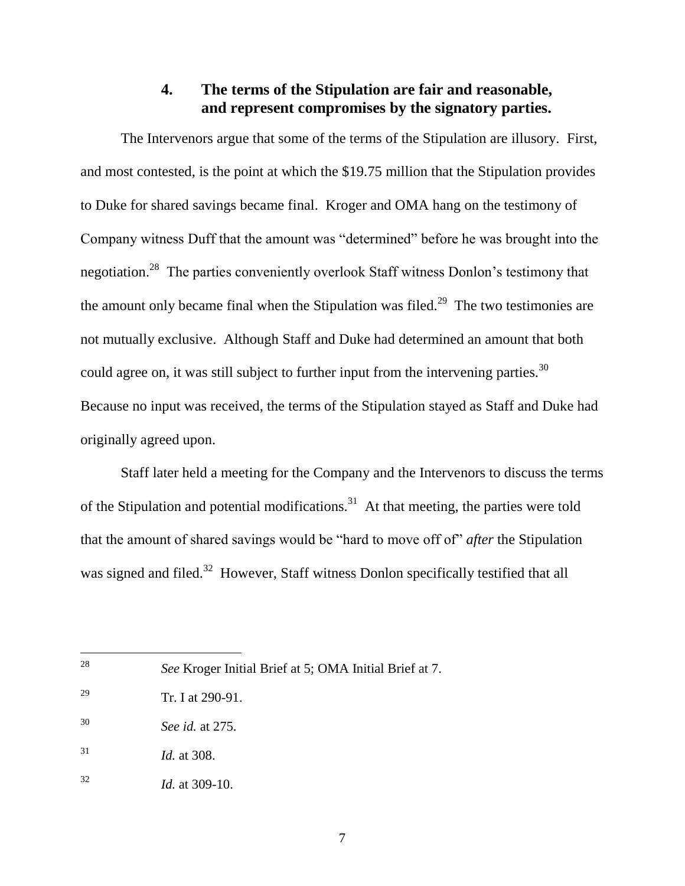## **4. The terms of the Stipulation are fair and reasonable, and represent compromises by the signatory parties.**

The Intervenors argue that some of the terms of the Stipulation are illusory. First, and most contested, is the point at which the \$19.75 million that the Stipulation provides to Duke for shared savings became final. Kroger and OMA hang on the testimony of Company witness Duff that the amount was "determined" before he was brought into the negotiation.<sup>28</sup> The parties conveniently overlook Staff witness Donlon's testimony that the amount only became final when the Stipulation was filed.<sup>29</sup> The two testimonies are not mutually exclusive. Although Staff and Duke had determined an amount that both could agree on, it was still subject to further input from the intervening parties.<sup>30</sup> Because no input was received, the terms of the Stipulation stayed as Staff and Duke had originally agreed upon.

Staff later held a meeting for the Company and the Intervenors to discuss the terms of the Stipulation and potential modifications.<sup>31</sup> At that meeting, the parties were told that the amount of shared savings would be "hard to move off of" *after* the Stipulation was signed and filed.<sup>32</sup> However, Staff witness Donlon specifically testified that all

<sup>28</sup> <sup>28</sup> *See* Kroger Initial Brief at 5; OMA Initial Brief at 7.

<sup>29</sup> Tr. I at 290-91.

<sup>30</sup> *See id.* at 275.

<sup>31</sup> *Id.* at 308.

<sup>32</sup> *Id.* at 309-10.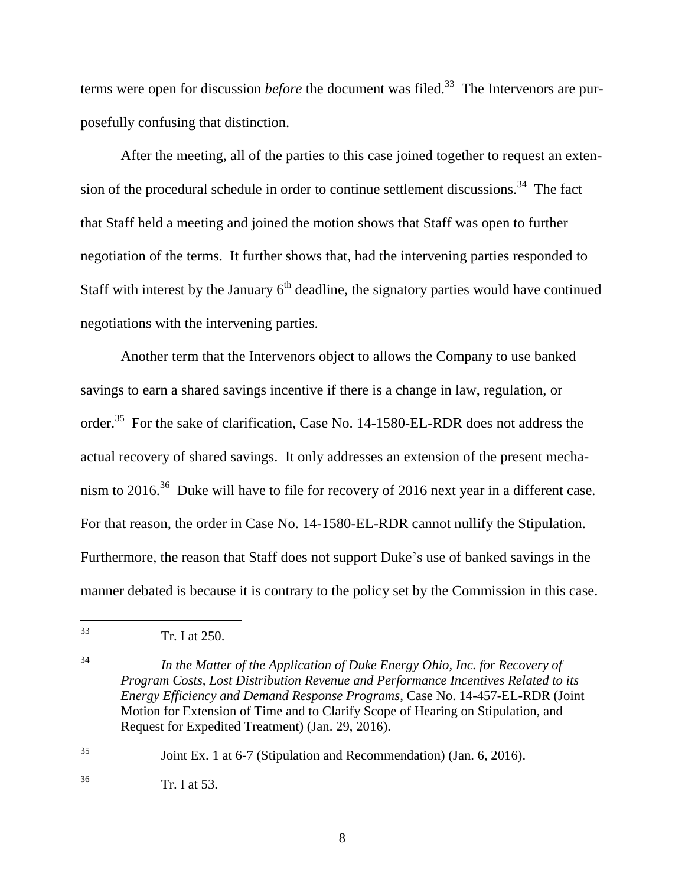terms were open for discussion *before* the document was filed.<sup>33</sup> The Intervenors are purposefully confusing that distinction.

After the meeting, all of the parties to this case joined together to request an extension of the procedural schedule in order to continue settlement discussions.<sup>34</sup> The fact that Staff held a meeting and joined the motion shows that Staff was open to further negotiation of the terms. It further shows that, had the intervening parties responded to Staff with interest by the January  $6<sup>th</sup>$  deadline, the signatory parties would have continued negotiations with the intervening parties.

Another term that the Intervenors object to allows the Company to use banked savings to earn a shared savings incentive if there is a change in law, regulation, or order.<sup>35</sup> For the sake of clarification, Case No. 14-1580-EL-RDR does not address the actual recovery of shared savings. It only addresses an extension of the present mechanism to 2016.<sup>36</sup> Duke will have to file for recovery of 2016 next year in a different case. For that reason, the order in Case No. 14-1580-EL-RDR cannot nullify the Stipulation. Furthermore, the reason that Staff does not support Duke's use of banked savings in the manner debated is because it is contrary to the policy set by the Commission in this case.

<sup>35</sup> Joint Ex. 1 at 6-7 (Stipulation and Recommendation) (Jan. 6, 2016).

<sup>36</sup> Tr. I at 53.

<sup>33</sup> <sup>33</sup> Tr. I at 250.

<sup>34</sup> *In the Matter of the Application of Duke Energy Ohio, Inc. for Recovery of Program Costs, Lost Distribution Revenue and Performance Incentives Related to its Energy Efficiency and Demand Response Programs*, Case No. 14-457-EL-RDR (Joint Motion for Extension of Time and to Clarify Scope of Hearing on Stipulation, and Request for Expedited Treatment) (Jan. 29, 2016).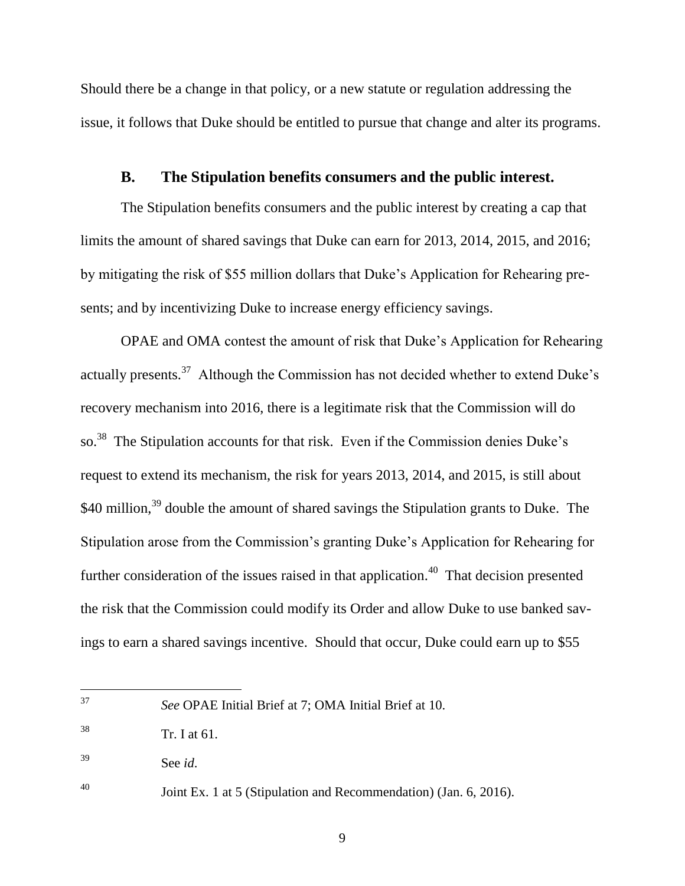Should there be a change in that policy, or a new statute or regulation addressing the issue, it follows that Duke should be entitled to pursue that change and alter its programs.

#### **B. The Stipulation benefits consumers and the public interest.**

The Stipulation benefits consumers and the public interest by creating a cap that limits the amount of shared savings that Duke can earn for 2013, 2014, 2015, and 2016; by mitigating the risk of \$55 million dollars that Duke's Application for Rehearing presents; and by incentivizing Duke to increase energy efficiency savings.

OPAE and OMA contest the amount of risk that Duke's Application for Rehearing actually presents.<sup>37</sup> Although the Commission has not decided whether to extend Duke's recovery mechanism into 2016, there is a legitimate risk that the Commission will do so.<sup>38</sup> The Stipulation accounts for that risk. Even if the Commission denies Duke's request to extend its mechanism, the risk for years 2013, 2014, and 2015, is still about \$40 million,<sup>39</sup> double the amount of shared savings the Stipulation grants to Duke. The Stipulation arose from the Commission's granting Duke's Application for Rehearing for further consideration of the issues raised in that application.<sup>40</sup> That decision presented the risk that the Commission could modify its Order and allow Duke to use banked savings to earn a shared savings incentive. Should that occur, Duke could earn up to \$55

<sup>37</sup> <sup>37</sup> *See* OPAE Initial Brief at 7; OMA Initial Brief at 10.

 $38$  Tr. I at 61.

<sup>39</sup> See *id*.

<sup>40</sup> Joint Ex. 1 at 5 (Stipulation and Recommendation) (Jan. 6, 2016).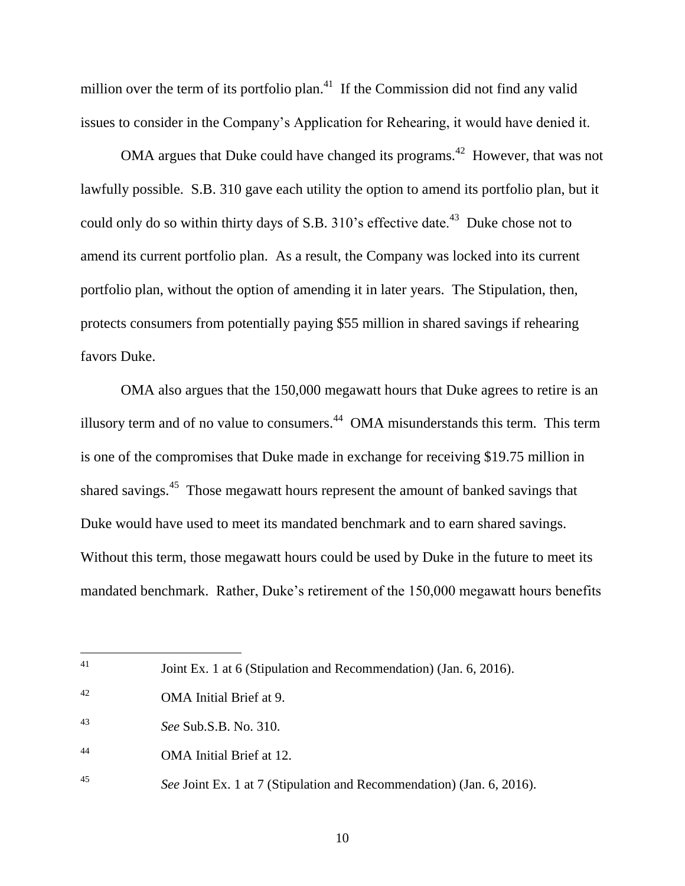million over the term of its portfolio plan.<sup>41</sup> If the Commission did not find any valid issues to consider in the Company's Application for Rehearing, it would have denied it.

OMA argues that Duke could have changed its programs.<sup>42</sup> However, that was not lawfully possible. S.B. 310 gave each utility the option to amend its portfolio plan, but it could only do so within thirty days of S.B. 310's effective date.<sup>43</sup> Duke chose not to amend its current portfolio plan. As a result, the Company was locked into its current portfolio plan, without the option of amending it in later years. The Stipulation, then, protects consumers from potentially paying \$55 million in shared savings if rehearing favors Duke.

OMA also argues that the 150,000 megawatt hours that Duke agrees to retire is an illusory term and of no value to consumers.<sup>44</sup> OMA misunderstands this term. This term is one of the compromises that Duke made in exchange for receiving \$19.75 million in shared savings.<sup>45</sup> Those megawatt hours represent the amount of banked savings that Duke would have used to meet its mandated benchmark and to earn shared savings. Without this term, those megawatt hours could be used by Duke in the future to meet its mandated benchmark. Rather, Duke's retirement of the 150,000 megawatt hours benefits

<sup>41</sup> Joint Ex. 1 at 6 (Stipulation and Recommendation) (Jan. 6, 2016).

<sup>42</sup> OMA Initial Brief at 9.

<sup>43</sup> *See* Sub.S.B. No. 310.

<sup>44</sup> OMA Initial Brief at 12.

<sup>45</sup> *See* Joint Ex. 1 at 7 (Stipulation and Recommendation) (Jan. 6, 2016).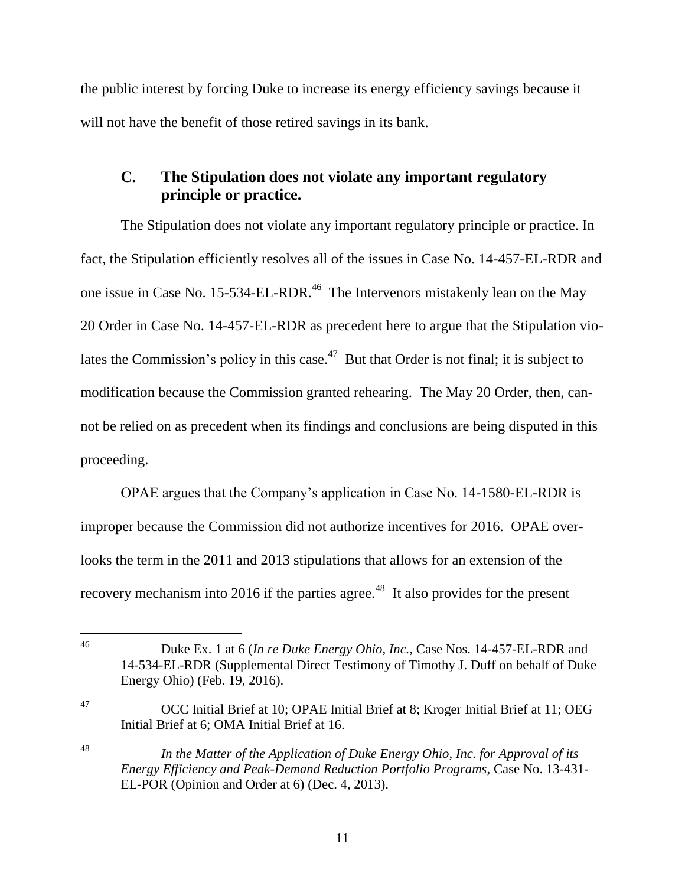the public interest by forcing Duke to increase its energy efficiency savings because it will not have the benefit of those retired savings in its bank.

## **C. The Stipulation does not violate any important regulatory principle or practice.**

The Stipulation does not violate any important regulatory principle or practice. In fact, the Stipulation efficiently resolves all of the issues in Case No. 14-457-EL-RDR and one issue in Case No. 15-534-EL-RDR.<sup>46</sup> The Intervenors mistakenly lean on the May 20 Order in Case No. 14-457-EL-RDR as precedent here to argue that the Stipulation violates the Commission's policy in this case.<sup>47</sup> But that Order is not final; it is subject to modification because the Commission granted rehearing. The May 20 Order, then, cannot be relied on as precedent when its findings and conclusions are being disputed in this proceeding.

OPAE argues that the Company's application in Case No. 14-1580-EL-RDR is improper because the Commission did not authorize incentives for 2016. OPAE overlooks the term in the 2011 and 2013 stipulations that allows for an extension of the recovery mechanism into 2016 if the parties agree.<sup>48</sup> It also provides for the present

<sup>47</sup> OCC Initial Brief at 10; OPAE Initial Brief at 8; Kroger Initial Brief at 11; OEG Initial Brief at 6; OMA Initial Brief at 16.

 $46\,$ <sup>46</sup> Duke Ex. 1 at 6 (*In re Duke Energy Ohio, Inc.*, Case Nos. 14-457-EL-RDR and 14-534-EL-RDR (Supplemental Direct Testimony of Timothy J. Duff on behalf of Duke Energy Ohio) (Feb. 19, 2016).

<sup>48</sup> *In the Matter of the Application of Duke Energy Ohio, Inc. for Approval of its Energy Efficiency and Peak-Demand Reduction Portfolio Programs*, Case No. 13-431- EL-POR (Opinion and Order at 6) (Dec. 4, 2013).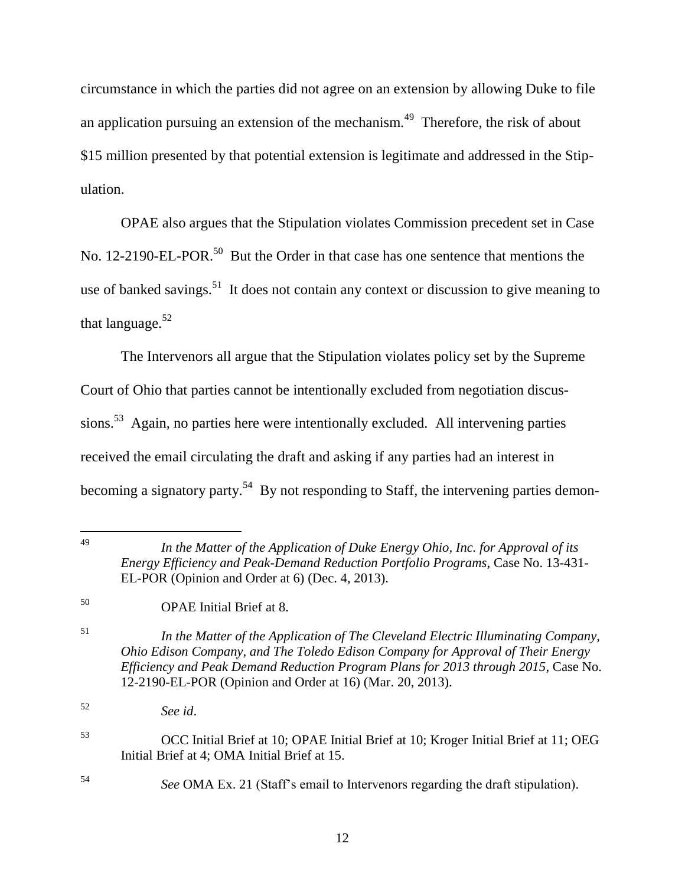circumstance in which the parties did not agree on an extension by allowing Duke to file an application pursuing an extension of the mechanism.<sup>49</sup> Therefore, the risk of about \$15 million presented by that potential extension is legitimate and addressed in the Stipulation.

OPAE also argues that the Stipulation violates Commission precedent set in Case No. 12-2190-EL-POR.<sup>50</sup> But the Order in that case has one sentence that mentions the use of banked savings.<sup>51</sup> It does not contain any context or discussion to give meaning to that language. $52$ 

The Intervenors all argue that the Stipulation violates policy set by the Supreme Court of Ohio that parties cannot be intentionally excluded from negotiation discussions.<sup>53</sup> Again, no parties here were intentionally excluded. All intervening parties received the email circulating the draft and asking if any parties had an interest in becoming a signatory party.<sup>54</sup> By not responding to Staff, the intervening parties demon-

<sup>49</sup> *In the Matter of the Application of Duke Energy Ohio, Inc. for Approval of its Energy Efficiency and Peak-Demand Reduction Portfolio Programs*, Case No. 13-431- EL-POR (Opinion and Order at 6) (Dec. 4, 2013).

<sup>50</sup> OPAE Initial Brief at 8.

<sup>51</sup> *In the Matter of the Application of The Cleveland Electric Illuminating Company, Ohio Edison Company, and The Toledo Edison Company for Approval of Their Energy Efficiency and Peak Demand Reduction Program Plans for 2013 through 2015*, Case No. 12-2190-EL-POR (Opinion and Order at 16) (Mar. 20, 2013).

<sup>52</sup> *See id*.

- <sup>53</sup> OCC Initial Brief at 10; OPAE Initial Brief at 10; Kroger Initial Brief at 11; OEG Initial Brief at 4; OMA Initial Brief at 15.
- <sup>54</sup> *See* OMA Ex. 21 (Staff's email to Intervenors regarding the draft stipulation).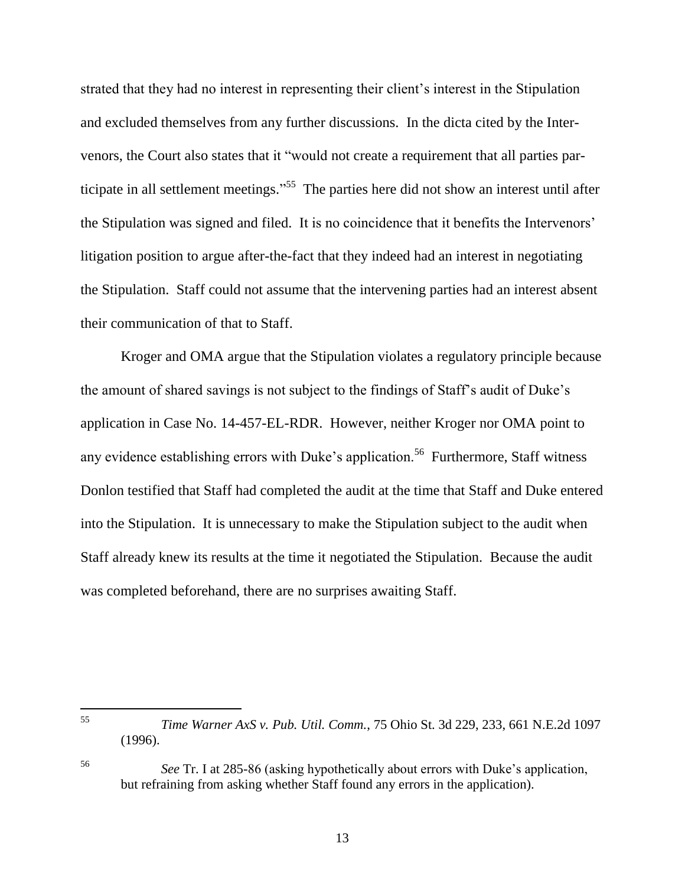strated that they had no interest in representing their client's interest in the Stipulation and excluded themselves from any further discussions. In the dicta cited by the Intervenors, the Court also states that it "would not create a requirement that all parties participate in all settlement meetings."<sup>55</sup> The parties here did not show an interest until after the Stipulation was signed and filed. It is no coincidence that it benefits the Intervenors' litigation position to argue after-the-fact that they indeed had an interest in negotiating the Stipulation. Staff could not assume that the intervening parties had an interest absent their communication of that to Staff.

Kroger and OMA argue that the Stipulation violates a regulatory principle because the amount of shared savings is not subject to the findings of Staff's audit of Duke's application in Case No. 14-457-EL-RDR. However, neither Kroger nor OMA point to any evidence establishing errors with Duke's application.<sup>56</sup> Furthermore, Staff witness Donlon testified that Staff had completed the audit at the time that Staff and Duke entered into the Stipulation. It is unnecessary to make the Stipulation subject to the audit when Staff already knew its results at the time it negotiated the Stipulation. Because the audit was completed beforehand, there are no surprises awaiting Staff.

55 <sup>55</sup> *Time Warner AxS v. Pub. Util. Comm.*, 75 Ohio St. 3d 229, 233, 661 N.E.2d 1097 (1996).

<sup>56</sup> *See* Tr. I at 285-86 (asking hypothetically about errors with Duke's application, but refraining from asking whether Staff found any errors in the application).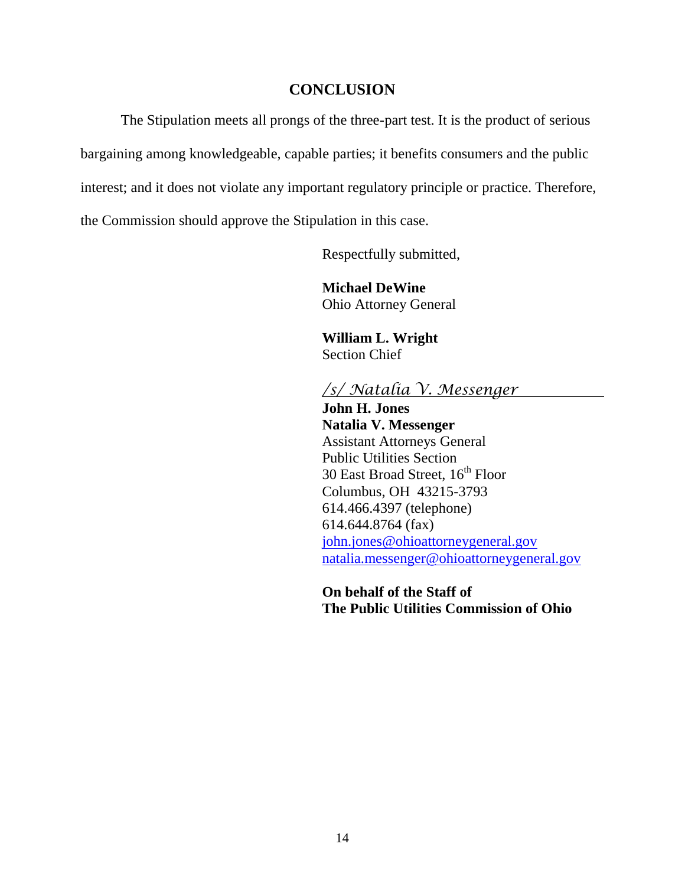#### **CONCLUSION**

The Stipulation meets all prongs of the three-part test. It is the product of serious

bargaining among knowledgeable, capable parties; it benefits consumers and the public

interest; and it does not violate any important regulatory principle or practice. Therefore,

the Commission should approve the Stipulation in this case.

Respectfully submitted,

**Michael DeWine** Ohio Attorney General

**William L. Wright** Section Chief

### */s/ Natalia V. Messenger*

**John H. Jones Natalia V. Messenger** Assistant Attorneys General Public Utilities Section 30 East Broad Street, 16<sup>th</sup> Floor Columbus, OH 43215-3793 614.466.4397 (telephone) 614.644.8764 (fax) [john.jones@ohioattorneygeneral.gov](mailto:john.jones@ohioattorneygeneral.gov) [natalia.messenger@ohioattorneygeneral.gov](mailto:natalia.messenger@ohioattorneygeneral.gov)

**On behalf of the Staff of The Public Utilities Commission of Ohio**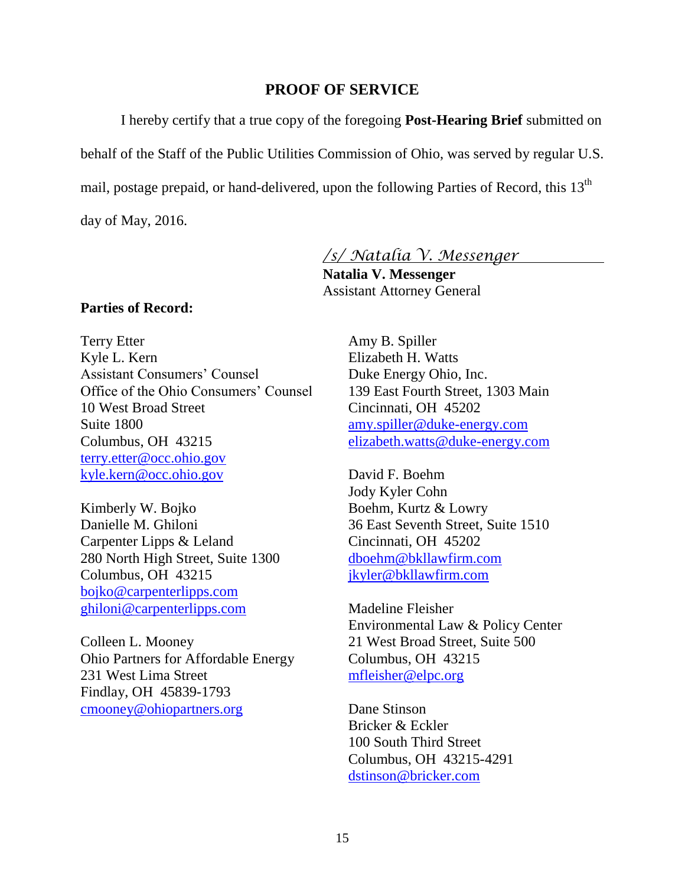#### **PROOF OF SERVICE**

I hereby certify that a true copy of the foregoing **Post-Hearing Brief** submitted on

behalf of the Staff of the Public Utilities Commission of Ohio, was served by regular U.S.

mail, postage prepaid, or hand-delivered, upon the following Parties of Record, this 13<sup>th</sup>

day of May, 2016.

*/s/ Natalia V. Messenger*

**Natalia V. Messenger** Assistant Attorney General

#### **Parties of Record:**

Terry Etter Kyle L. Kern Assistant Consumers' Counsel Office of the Ohio Consumers' Counsel 10 West Broad Street Suite 1800 Columbus, OH 43215 [terry.etter@occ.ohio.gov](mailto:terry.etter@occ.ohio.gov) [kyle.kern@occ.ohio.gov](mailto:kyle.kern@occ.ohio.gov)

Kimberly W. Bojko Danielle M. Ghiloni Carpenter Lipps & Leland 280 North High Street, Suite 1300 Columbus, OH 43215 [bojko@carpenterlipps.com](mailto:bojko@carpenterlipps.com) [ghiloni@carpenterlipps.com](mailto:ghiloni@carpenterlipps.com)

Colleen L. Mooney Ohio Partners for Affordable Energy 231 West Lima Street Findlay, OH 45839-1793 [cmooney@ohiopartners.org](mailto:cmooney@ohiopartners.org)

Amy B. Spiller Elizabeth H. Watts Duke Energy Ohio, Inc. 139 East Fourth Street, 1303 Main Cincinnati, OH 45202 [amy.spiller@duke-energy.com](mailto:amy.spiller@duke-energy.com) [elizabeth.watts@duke-energy.com](mailto:elizabeth.watts@duke-energy.com)

David F. Boehm Jody Kyler Cohn Boehm, Kurtz & Lowry 36 East Seventh Street, Suite 1510 Cincinnati, OH 45202 [dboehm@bkllawfirm.com](mailto:dboehm@bkllawfirm.com) [jkyler@bkllawfirm.com](mailto:jkyler@bkllawfirm.com)

Madeline Fleisher Environmental Law & Policy Center 21 West Broad Street, Suite 500 Columbus, OH 43215 [mfleisher@elpc.org](mailto:mfleisher@elpc.org)

Dane Stinson Bricker & Eckler 100 South Third Street Columbus, OH 43215-4291 [dstinson@bricker.com](mailto:dstinson@bricker.com)